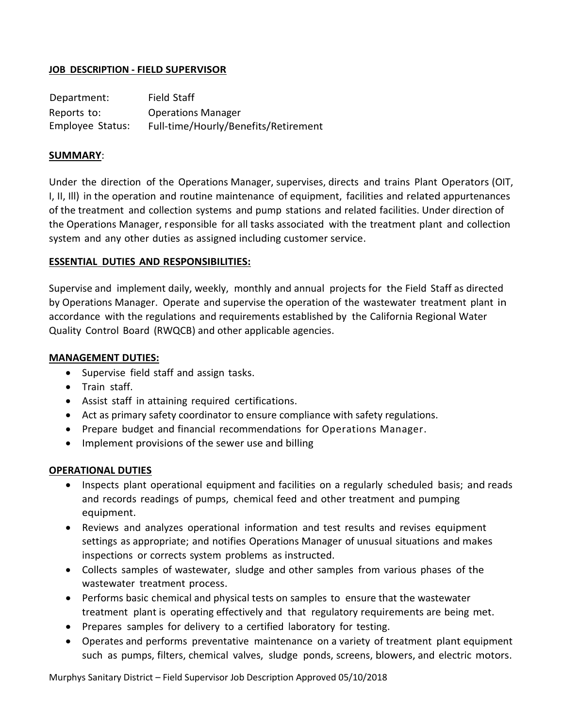## **JOB DESCRIPTION - FIELD SUPERVISOR**

| Department:      | Field Staff                          |
|------------------|--------------------------------------|
| Reports to:      | <b>Operations Manager</b>            |
| Employee Status: | Full-time/Hourly/Benefits/Retirement |

### **SUMMARY**:

Under the direction of the Operations Manager, supervises, directs and trains Plant Operators (OIT, I, II, Ill) in the operation and routine maintenance of equipment, facilities and related appurtenances of the treatment and collection systems and pump stations and related facilities. Under direction of the Operations Manager, responsible for all tasks associated with the treatment plant and collection system and any other duties as assigned including customer service.

### **ESSENTIAL DUTIES AND RESPONSIBILITIES:**

Supervise and implement daily, weekly, monthly and annual projects for the Field Staff as directed by Operations Manager. Operate and supervise the operation of the wastewater treatment plant in accordance with the regulations and requirements established by the California Regional Water Quality Control Board (RWQCB) and other applicable agencies.

### **MANAGEMENT DUTIES:**

- Supervise field staff and assign tasks.
- Train staff.
- Assist staff in attaining required certifications.
- Act as primary safety coordinator to ensure compliance with safety regulations.
- Prepare budget and financial recommendations for Operations Manager.
- Implement provisions of the sewer use and billing

# **OPERATIONAL DUTIES**

- Inspects plant operational equipment and facilities on a regularly scheduled basis; and reads and records readings of pumps, chemical feed and other treatment and pumping equipment.
- Reviews and analyzes operational information and test results and revises equipment settings as appropriate; and notifies Operations Manager of unusual situations and makes inspections or corrects system problems as instructed.
- Collects samples of wastewater, sludge and other samples from various phases of the wastewater treatment process.
- Performs basic chemical and physical tests on samples to ensure that the wastewater treatment plant is operating effectively and that regulatory requirements are being met.
- Prepares samples for delivery to a certified laboratory for testing.
- Operates and performs preventative maintenance on a variety of treatment plant equipment such as pumps, filters, chemical valves, sludge ponds, screens, blowers, and electric motors.

Murphys Sanitary District – Field Supervisor Job Description Approved 05/10/2018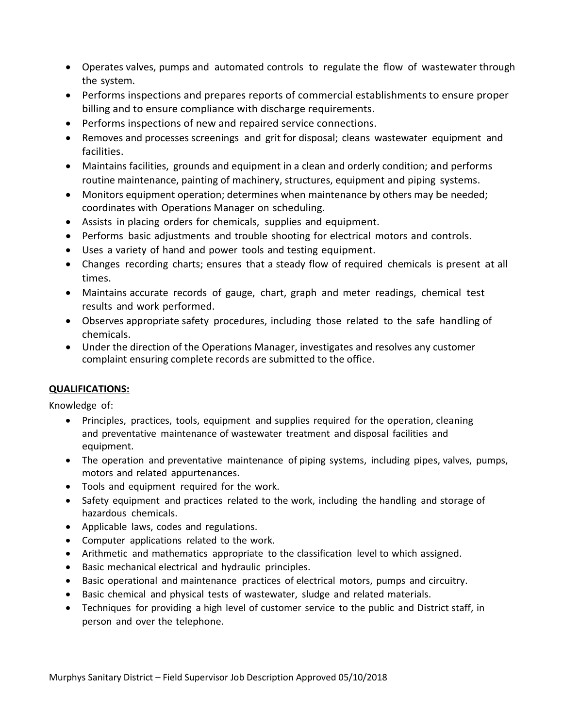- Operates valves, pumps and automated controls to regulate the flow of wastewater through the system.
- Performs inspections and prepares reports of commercial establishments to ensure proper billing and to ensure compliance with discharge requirements.
- Performs inspections of new and repaired service connections.
- Removes and processes screenings and grit for disposal; cleans wastewater equipment and facilities.
- Maintains facilities, grounds and equipment in a clean and orderly condition; and performs routine maintenance, painting of machinery, structures, equipment and piping systems.
- Monitors equipment operation; determines when maintenance by others may be needed; coordinates with Operations Manager on scheduling.
- Assists in placing orders for chemicals, supplies and equipment.
- Performs basic adjustments and trouble shooting for electrical motors and controls.
- Uses a variety of hand and power tools and testing equipment.
- Changes recording charts; ensures that a steady flow of required chemicals is present at all times.
- Maintains accurate records of gauge, chart, graph and meter readings, chemical test results and work performed.
- Observes appropriate safety procedures, including those related to the safe handling of chemicals.
- Under the direction of the Operations Manager, investigates and resolves any customer complaint ensuring complete records are submitted to the office.

# **QUALIFICATIONS:**

Knowledge of:

- Principles, practices, tools, equipment and supplies required for the operation, cleaning and preventative maintenance of wastewater treatment and disposal facilities and equipment.
- The operation and preventative maintenance of piping systems, including pipes, valves, pumps, motors and related appurtenances.
- Tools and equipment required for the work.
- Safety equipment and practices related to the work, including the handling and storage of hazardous chemicals.
- Applicable laws, codes and regulations.
- Computer applications related to the work.
- Arithmetic and mathematics appropriate to the classification level to which assigned.
- Basic mechanical electrical and hydraulic principles.
- Basic operational and maintenance practices of electrical motors, pumps and circuitry.
- Basic chemical and physical tests of wastewater, sludge and related materials.
- Techniques for providing a high level of customer service to the public and District staff, in person and over the telephone.